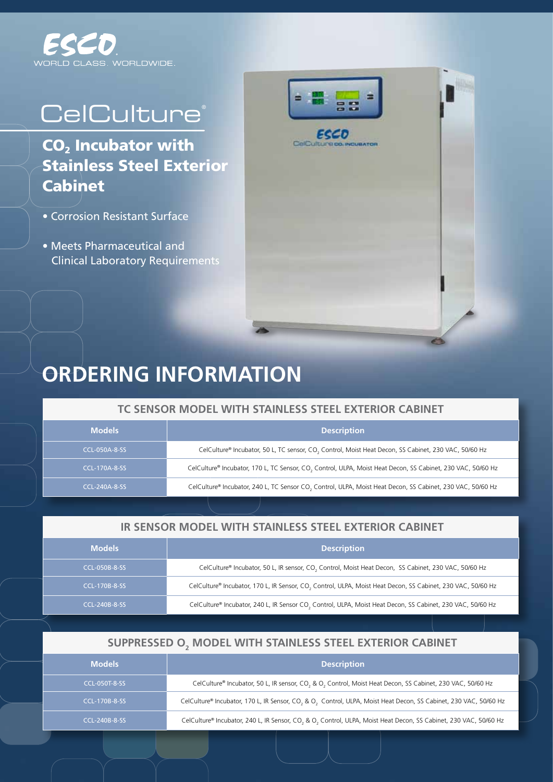

# **CelCulture®**

 $CO<sub>2</sub>$  Incubator with Stainless Steel Exterior **Cabinet** 

- Corrosion Resistant Surface
- Meets Pharmaceutical and Clinical Laboratory Requirements





## **ORDERING INFORMATION**

#### **TC Sensor Model With Stainless Steel Exterior Cabinet**

| <b>Models</b> | <b>Description</b>                                                                                                      |  |
|---------------|-------------------------------------------------------------------------------------------------------------------------|--|
| CCL-050A-8-SS | CelCulture® Incubator, 50 L, TC sensor, CO, Control, Moist Heat Decon, SS Cabinet, 230 VAC, 50/60 Hz                    |  |
| CCL-170A-8-SS | CelCulture® Incubator, 170 L, TC Sensor, CO <sub>2</sub> Control, ULPA, Moist Heat Decon, SS Cabinet, 230 VAC, 50/60 Hz |  |
| CCL-240A-8-SS | CelCulture® Incubator, 240 L, TC Sensor CO, Control, ULPA, Moist Heat Decon, SS Cabinet, 230 VAC, 50/60 Hz              |  |

#### **IR Sensor Model With Stainless Steel Exterior Cabinet**

| <b>Models</b>        | <b>Description</b>                                                                                               |
|----------------------|------------------------------------------------------------------------------------------------------------------|
| <b>CCL-050B-8-SS</b> | CelCulture® Incubator, 50 L, IR sensor, CO <sub>2</sub> Control, Moist Heat Decon, SS Cabinet, 230 VAC, 50/60 Hz |
| <b>CCL-170B-8-SS</b> | CelCulture® Incubator, 170 L, IR Sensor, CO., Control, ULPA, Moist Heat Decon, SS Cabinet, 230 VAC, 50/60 Hz     |
| CCL-240B-8-SS        | CelCulture® Incubator, 240 L, IR Sensor CO., Control, ULPA, Moist Heat Decon, SS Cabinet, 230 VAC, 50/60 Hz      |

### SUPPRESSED O<sub>2</sub> MODEL WITH STAINLESS STEEL EXTERIOR CABINET

| <b>Models</b>        | <b>Description</b>                                                                                               |
|----------------------|------------------------------------------------------------------------------------------------------------------|
| <b>CCL-050T-8-SS</b> | CelCulture® Incubator, 50 L, IR sensor, CO, & O, Control, Moist Heat Decon, SS Cabinet, 230 VAC, 50/60 Hz        |
| <b>CCL-170B-8-SS</b> | CelCulture® Incubator, 170 L, IR Sensor, CO, & O, Control, ULPA, Moist Heat Decon, SS Cabinet, 230 VAC, 50/60 Hz |
| <b>CCL-240B-8-SS</b> | CelCulture® Incubator, 240 L, IR Sensor, CO, & O, Control, ULPA, Moist Heat Decon, SS Cabinet, 230 VAC, 50/60 Hz |